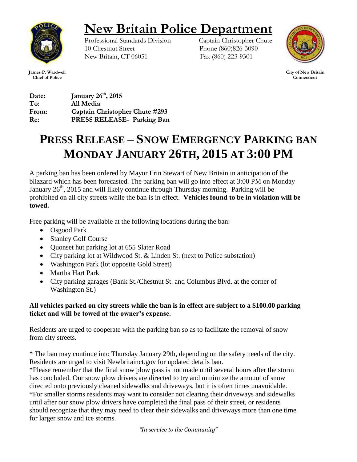

## **New Britain Police Department**

Professional Standards Division Captain Christopher Chute 10 Chestnut Street Phone (860)826-3090 New Britain, CT 06051 Fax (860) 223-9301



 **City of New Britain Connecticut**

**James P. Wardwell Chief of Police**

**Date: January 26th, 2015 To: All Media From: Captain Christopher Chute #293 Re: PRESS RELEASE- Parking Ban** 

## **PRESS RELEASE – SNOW EMERGENCY PARKING BAN MONDAY JANUARY 26TH, 2015 AT 3:00 PM**

A parking ban has been ordered by Mayor Erin Stewart of New Britain in anticipation of the blizzard which has been forecasted. The parking ban will go into effect at 3:00 PM on Monday January  $26<sup>th</sup>$ , 2015 and will likely continue through Thursday morning. Parking will be prohibited on all city streets while the ban is in effect. **Vehicles found to be in violation will be towed.**

Free parking will be available at the following locations during the ban:

- Osgood Park
- Stanley Golf Course
- Ouonset hut parking lot at 655 Slater Road
- City parking lot at Wildwood St. & Linden St. (next to Police substation)
- Washington Park (lot opposite Gold Street)
- Martha Hart Park
- City parking garages (Bank St./Chestnut St. and Columbus Blvd. at the corner of Washington St.)

## **All vehicles parked on city streets while the ban is in effect are subject to a \$100.00 parking ticket and will be towed at the owner's expense**.

Residents are urged to cooperate with the parking ban so as to facilitate the removal of snow from city streets.

\* The ban may continue into Thursday January 29th, depending on the safety needs of the city. Residents are urged to visit Newbritainct.gov for updated details ban.

\*Please remember that the final snow plow pass is not made until several hours after the storm has concluded. Our snow plow drivers are directed to try and minimize the amount of snow directed onto previously cleaned sidewalks and driveways, but it is often times unavoidable. \*For smaller storms residents may want to consider not clearing their driveways and sidewalks until after our snow plow drivers have completed the final pass of their street, or residents should recognize that they may need to clear their sidewalks and driveways more than one time for larger snow and ice storms.

*"In service to the Community"*